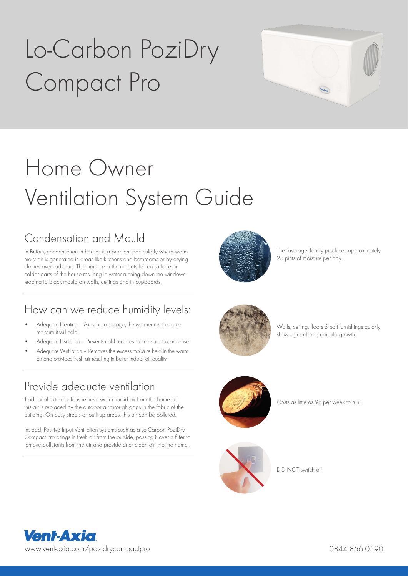# Lo-Carbon PoziDry Compact Pro



## Home Owner Ventilation System Guide

## Condensation and Mould

In Britain, condensation in houses is a problem particularly where warm moist air is generated in areas like kitchens and bathrooms or by drying clothes over radiators. The moisture in the air gets left on surfaces in colder parts of the house resulting in water running down the windows leading to black mould on walls, ceilings and in cupboards.

## How can we reduce humidity levels:

- Adequate Heating Air is like a sponge, the warmer it is the more moisture it will hold
- Adequate Insulation Prevents cold surfaces for moisture to condense
- Adequate Ventilation Removes the excess moisture held in the warm air and provides fresh air resulting in better indoor air quality

## Provide adequate ventilation

Traditional extractor fans remove warm humid air from the home but this air is replaced by the outdoor air through gaps in the fabric of the building. On busy streets or built up areas, this air can be polluted.

Instead, Positive Input Ventilation systems such as a Lo-Carbon PoziDry Compact Pro brings in fresh air from the outside, passing it over a filter to remove pollutants from the air and provide drier clean air into the home.



The 'average' family produces approximately 27 pints of moisture per day.



Walls, ceiling, floors & soft furnishings quickly show signs of black mould growth.



Costs as little as 9p per week to run!



DO NOT switch off